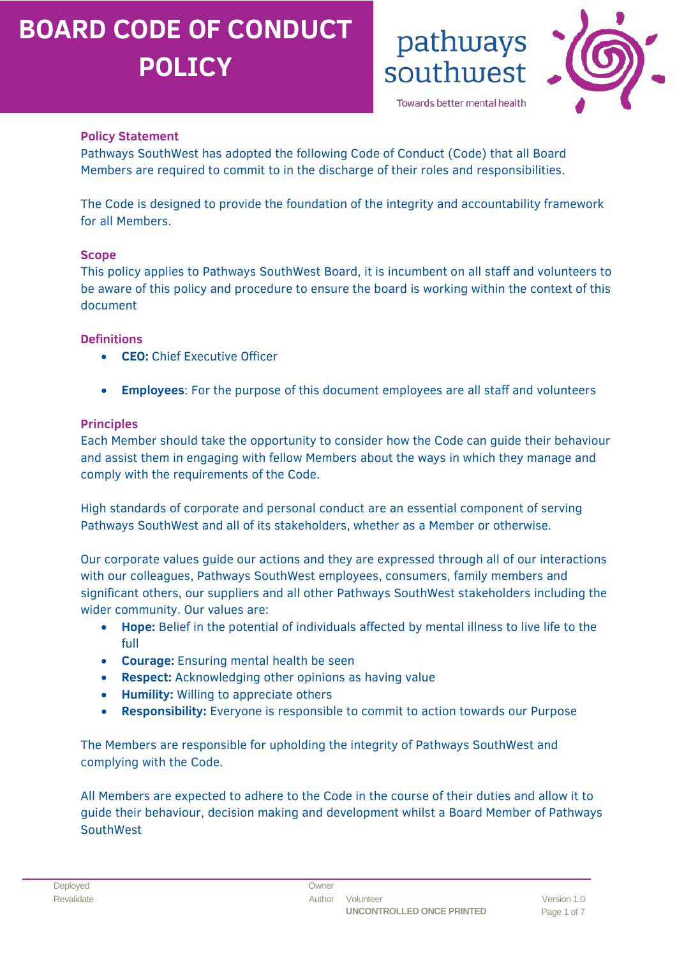

pathways

Towards better mental health

southwest

### **Policy Statement**

Pathways SouthWest has adopted the following Code of Conduct (Code) that all Board Members are required to commit to in the discharge of their roles and responsibilities.

The Code is designed to provide the foundation of the integrity and accountability framework for all Members.

#### **Scope**

This policy applies to Pathways SouthWest Board, it is incumbent on all staff and volunteers to be aware of this policy and procedure to ensure the board is working within the context of this document

#### **Definitions**

- **CEO:** Chief Executive Officer
- **Employees**: For the purpose of this document employees are all staff and volunteers

#### **Principles**

Each Member should take the opportunity to consider how the Code can guide their behaviour and assist them in engaging with fellow Members about the ways in which they manage and comply with the requirements of the Code.

High standards of corporate and personal conduct are an essential component of serving Pathways SouthWest and all of its stakeholders, whether as a Member or otherwise.

Our corporate values guide our actions and they are expressed through all of our interactions with our colleagues, Pathways SouthWest employees, consumers, family members and significant others, our suppliers and all other Pathways SouthWest stakeholders including the wider community. Our values are:

- **Hope:** Belief in the potential of individuals affected by mental illness to live life to the full
- **Courage:** Ensuring mental health be seen
- **Respect:** Acknowledging other opinions as having value
- **Humility:** Willing to appreciate others
- **Responsibility:** Everyone is responsible to commit to action towards our Purpose

The Members are responsible for upholding the integrity of Pathways SouthWest and complying with the Code.

All Members are expected to adhere to the Code in the course of their duties and allow it to guide their behaviour, decision making and development whilst a Board Member of Pathways **SouthWest**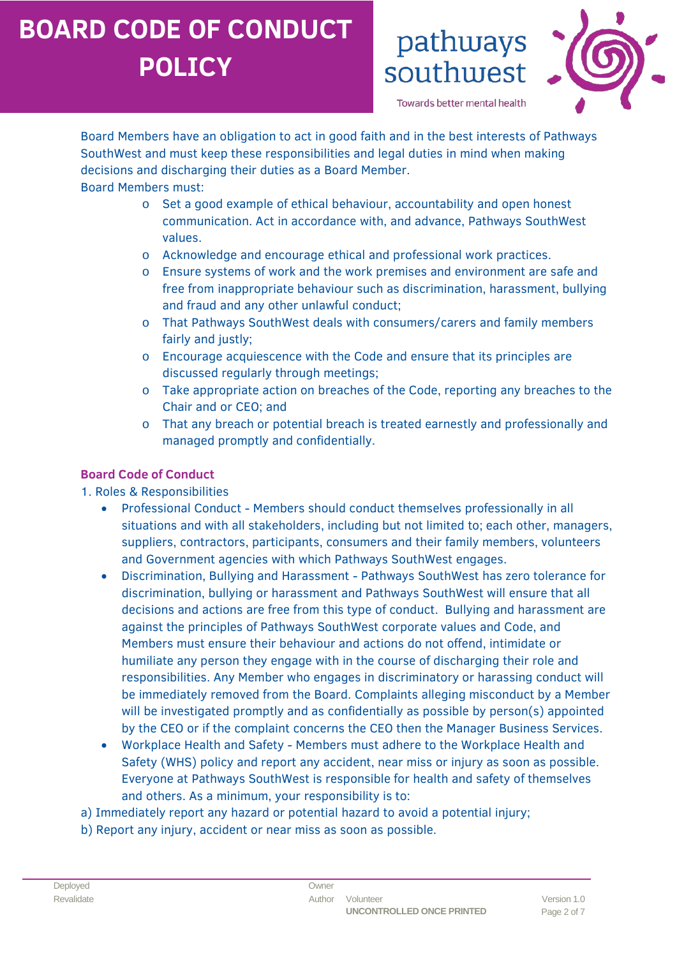

Towards better mental health

southwest

pathways

Board Members have an obligation to act in good faith and in the best interests of Pathways SouthWest and must keep these responsibilities and legal duties in mind when making decisions and discharging their duties as a Board Member.

Board Members must:

- o Set a good example of ethical behaviour, accountability and open honest communication. Act in accordance with, and advance, Pathways SouthWest values.
- o Acknowledge and encourage ethical and professional work practices.
- o Ensure systems of work and the work premises and environment are safe and free from inappropriate behaviour such as discrimination, harassment, bullying and fraud and any other unlawful conduct;
- o That Pathways SouthWest deals with consumers/carers and family members fairly and justly;
- o Encourage acquiescence with the Code and ensure that its principles are discussed regularly through meetings;
- o Take appropriate action on breaches of the Code, reporting any breaches to the Chair and or CEO; and
- o That any breach or potential breach is treated earnestly and professionally and managed promptly and confidentially.

#### **Board Code of Conduct**

#### 1. Roles & Responsibilities

- Professional Conduct Members should conduct themselves professionally in all situations and with all stakeholders, including but not limited to; each other, managers, suppliers, contractors, participants, consumers and their family members, volunteers and Government agencies with which Pathways SouthWest engages.
- Discrimination, Bullying and Harassment Pathways SouthWest has zero tolerance for discrimination, bullying or harassment and Pathways SouthWest will ensure that all decisions and actions are free from this type of conduct. Bullying and harassment are against the principles of Pathways SouthWest corporate values and Code, and Members must ensure their behaviour and actions do not offend, intimidate or humiliate any person they engage with in the course of discharging their role and responsibilities. Any Member who engages in discriminatory or harassing conduct will be immediately removed from the Board. Complaints alleging misconduct by a Member will be investigated promptly and as confidentially as possible by person(s) appointed by the CEO or if the complaint concerns the CEO then the Manager Business Services.
- Workplace Health and Safety Members must adhere to the Workplace Health and Safety (WHS) policy and report any accident, near miss or injury as soon as possible. Everyone at Pathways SouthWest is responsible for health and safety of themselves and others. As a minimum, your responsibility is to:
- a) Immediately report any hazard or potential hazard to avoid a potential injury;
- b) Report any injury, accident or near miss as soon as possible.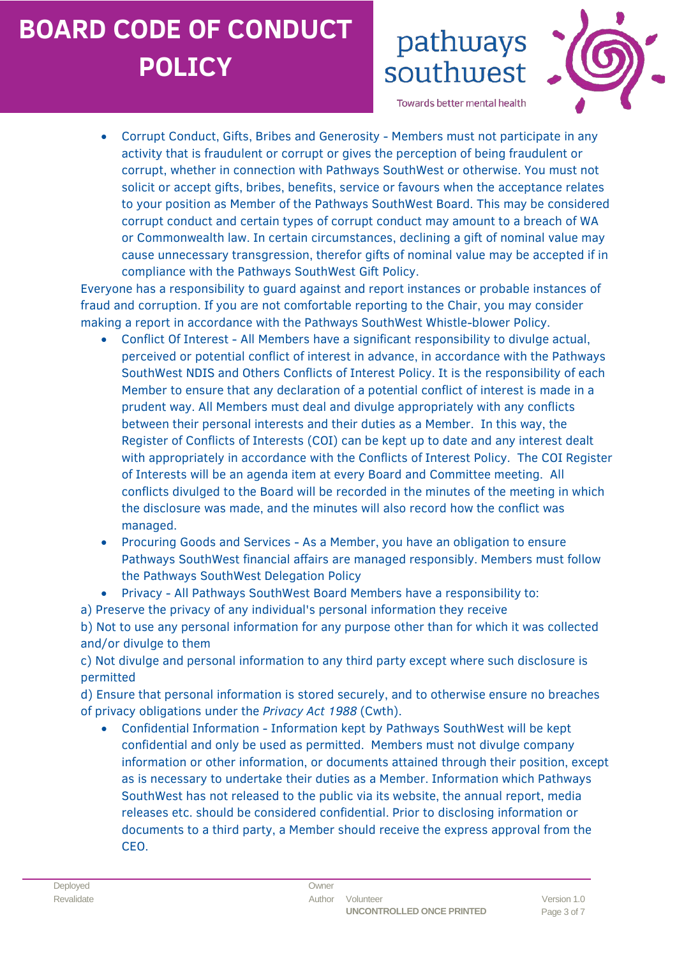## pathways southwest



Towards better mental health

• Corrupt Conduct, Gifts, Bribes and Generosity - Members must not participate in any activity that is fraudulent or corrupt or gives the perception of being fraudulent or corrupt, whether in connection with Pathways SouthWest or otherwise. You must not solicit or accept gifts, bribes, benefits, service or favours when the acceptance relates to your position as Member of the Pathways SouthWest Board. This may be considered corrupt conduct and certain types of corrupt conduct may amount to a breach of WA or Commonwealth law. In certain circumstances, declining a gift of nominal value may cause unnecessary transgression, therefor gifts of nominal value may be accepted if in compliance with the Pathways SouthWest Gift Policy.

Everyone has a responsibility to guard against and report instances or probable instances of fraud and corruption. If you are not comfortable reporting to the Chair, you may consider making a report in accordance with the Pathways SouthWest Whistle-blower Policy.

- Conflict Of Interest All Members have a significant responsibility to divulge actual, perceived or potential conflict of interest in advance, in accordance with the Pathways SouthWest NDIS and Others Conflicts of Interest Policy. It is the responsibility of each Member to ensure that any declaration of a potential conflict of interest is made in a prudent way. All Members must deal and divulge appropriately with any conflicts between their personal interests and their duties as a Member. In this way, the Register of Conflicts of Interests (COI) can be kept up to date and any interest dealt with appropriately in accordance with the Conflicts of Interest Policy. The COI Register of Interests will be an agenda item at every Board and Committee meeting. All conflicts divulged to the Board will be recorded in the minutes of the meeting in which the disclosure was made, and the minutes will also record how the conflict was managed.
- Procuring Goods and Services As a Member, you have an obligation to ensure Pathways SouthWest financial affairs are managed responsibly. Members must follow the Pathways SouthWest Delegation Policy
- Privacy All Pathways SouthWest Board Members have a responsibility to:
- a) Preserve the privacy of any individual's personal information they receive

b) Not to use any personal information for any purpose other than for which it was collected and/or divulge to them

c) Not divulge and personal information to any third party except where such disclosure is permitted

d) Ensure that personal information is stored securely, and to otherwise ensure no breaches of privacy obligations under the *Privacy Act 1988* (Cwth).

• Confidential Information - Information kept by Pathways SouthWest will be kept confidential and only be used as permitted. Members must not divulge company information or other information, or documents attained through their position, except as is necessary to undertake their duties as a Member. Information which Pathways SouthWest has not released to the public via its website, the annual report, media releases etc. should be considered confidential. Prior to disclosing information or documents to a third party, a Member should receive the express approval from the CEO.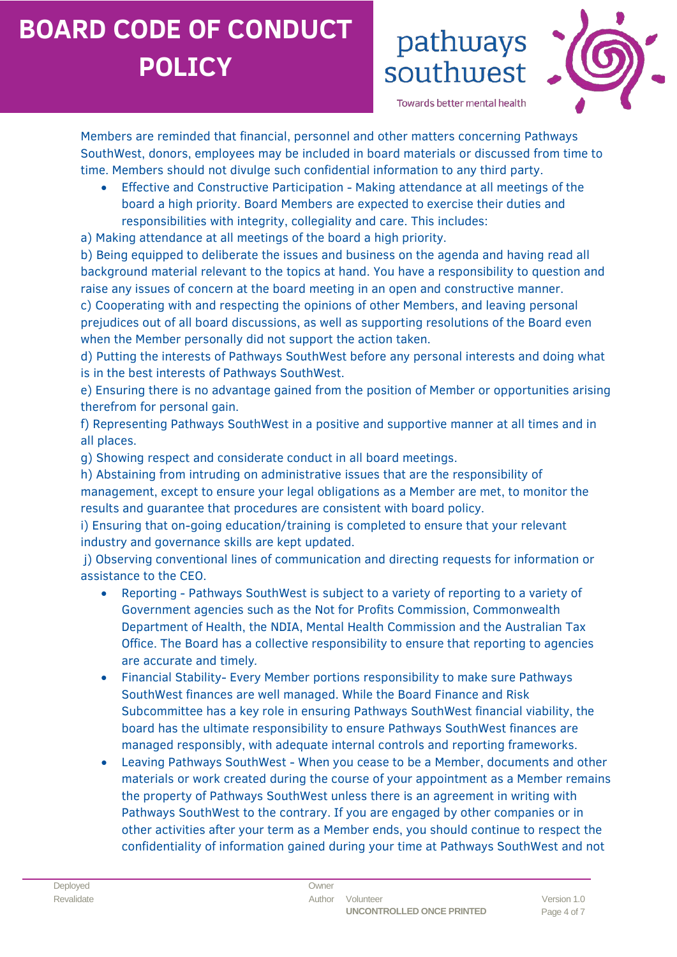## pathways southwest



Towards better mental health

Members are reminded that financial, personnel and other matters concerning Pathways SouthWest, donors, employees may be included in board materials or discussed from time to time. Members should not divulge such confidential information to any third party.

• Effective and Constructive Participation - Making attendance at all meetings of the board a high priority. Board Members are expected to exercise their duties and responsibilities with integrity, collegiality and care. This includes:

a) Making attendance at all meetings of the board a high priority.

b) Being equipped to deliberate the issues and business on the agenda and having read all background material relevant to the topics at hand. You have a responsibility to question and raise any issues of concern at the board meeting in an open and constructive manner.

c) Cooperating with and respecting the opinions of other Members, and leaving personal prejudices out of all board discussions, as well as supporting resolutions of the Board even when the Member personally did not support the action taken.

d) Putting the interests of Pathways SouthWest before any personal interests and doing what is in the best interests of Pathways SouthWest.

e) Ensuring there is no advantage gained from the position of Member or opportunities arising therefrom for personal gain.

f) Representing Pathways SouthWest in a positive and supportive manner at all times and in all places.

g) Showing respect and considerate conduct in all board meetings.

h) Abstaining from intruding on administrative issues that are the responsibility of management, except to ensure your legal obligations as a Member are met, to monitor the results and guarantee that procedures are consistent with board policy.

i) Ensuring that on-going education/training is completed to ensure that your relevant industry and governance skills are kept updated.

j) Observing conventional lines of communication and directing requests for information or assistance to the CEO.

- Reporting Pathways SouthWest is subject to a variety of reporting to a variety of Government agencies such as the Not for Profits Commission, Commonwealth Department of Health, the NDIA, Mental Health Commission and the Australian Tax Office. The Board has a collective responsibility to ensure that reporting to agencies are accurate and timely*.*
- Financial Stability- Every Member portions responsibility to make sure Pathways SouthWest finances are well managed. While the Board Finance and Risk Subcommittee has a key role in ensuring Pathways SouthWest financial viability, the board has the ultimate responsibility to ensure Pathways SouthWest finances are managed responsibly, with adequate internal controls and reporting frameworks.
- Leaving Pathways SouthWest When you cease to be a Member, documents and other materials or work created during the course of your appointment as a Member remains the property of Pathways SouthWest unless there is an agreement in writing with Pathways SouthWest to the contrary. If you are engaged by other companies or in other activities after your term as a Member ends, you should continue to respect the confidentiality of information gained during your time at Pathways SouthWest and not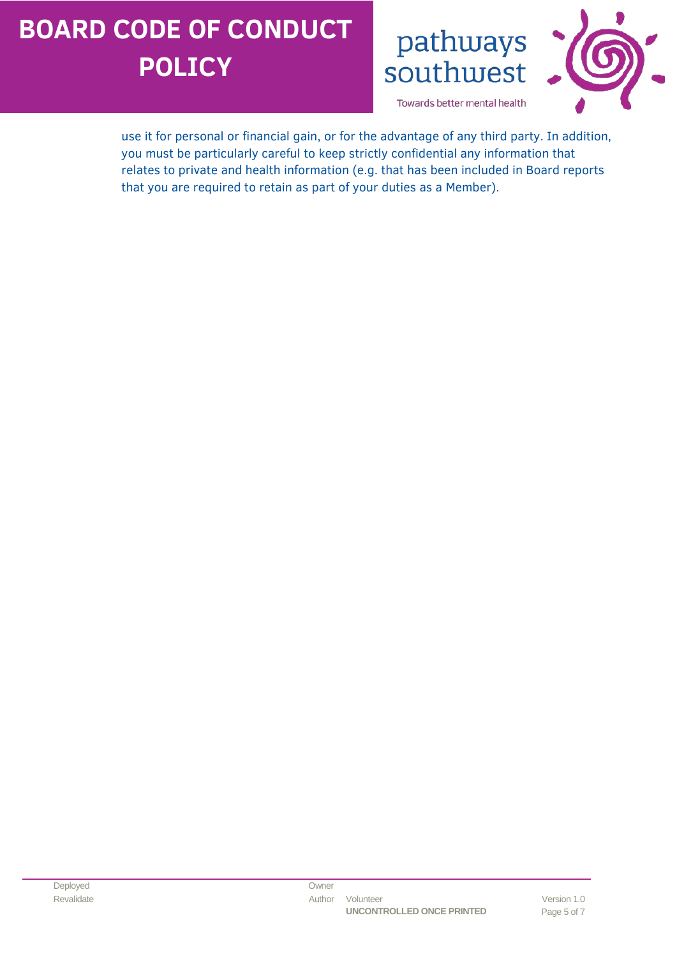pathways southwest



Towards better mental health

use it for personal or financial gain, or for the advantage of any third party. In addition, you must be particularly careful to keep strictly confidential any information that relates to private and health information (e.g. that has been included in Board reports that you are required to retain as part of your duties as a Member).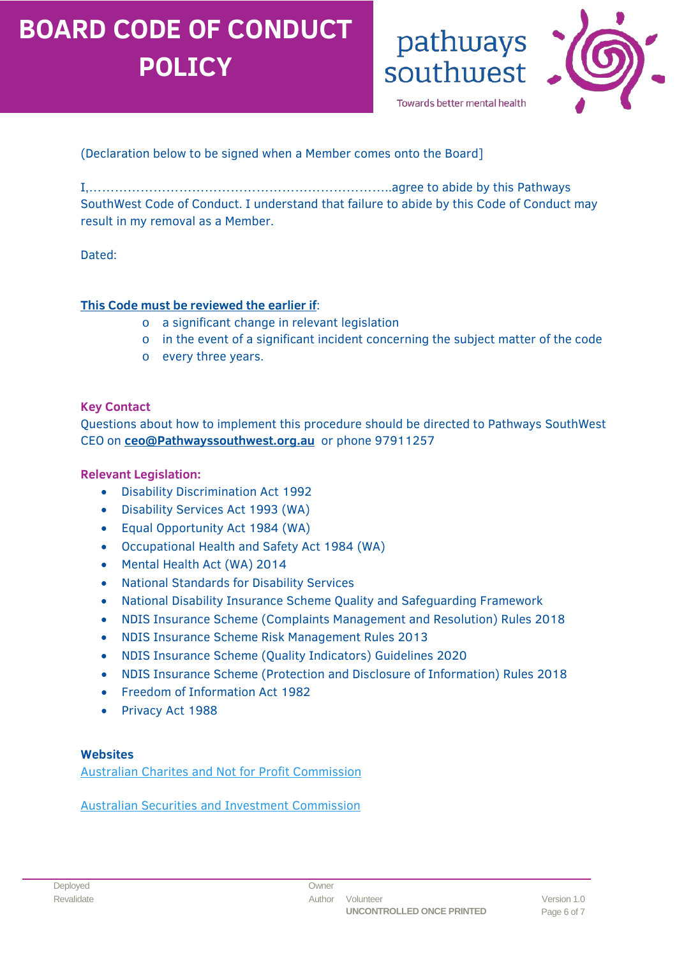pathways southwest

Towards better mental health

#### (Declaration below to be signed when a Member comes onto the Board]

I,……………………………………………………………..agree to abide by this Pathways SouthWest Code of Conduct. I understand that failure to abide by this Code of Conduct may result in my removal as a Member.

#### Dated:

#### **This Code must be reviewed the earlier if**:

- o a significant change in relevant legislation
- o in the event of a significant incident concerning the subject matter of the code
- o every three years.

#### **Key Contact**

Questions about how to implement this procedure should be directed to Pathways SouthWest CEO on **[ceo@Pathwayssouthwest.org.au](mailto:ceo@Pathwayssouthwest.org.au)** or phone 97911257

#### **Relevant Legislation:**

- [Disability Discrimination Act 1992](https://www.legislation.gov.au/Details/C2016C00763)
- [Disability Services Act 1993 \(WA\)](https://www.legislation.wa.gov.au/legislation/statutes.nsf/main_mrtitle_267_homepage.html)
- [Equal Opportunity Act 1984 \(WA\)](https://www.legislation.wa.gov.au/legislation/statutes.nsf/main_mrtitle_305_homepage.html)
- [Occupational Health and Safety Act 1984 \(WA\)](https://www.legislation.wa.gov.au/legislation/statutes.nsf/main_mrtitle_650_homepage.html)
- [Mental Health Act \(WA\) 2014](https://www.legislation.wa.gov.au/legislation/statutes.nsf/main_mrtitle_13534_homepage.html)
- [National Standards for Disability Services](https://www.dss.gov.au/our-responsibilities/disability-and-carers/standards-and-quality-assurance/national-standards-for-disability-services)
- [National Disability Insurance Scheme Quality and Safeguarding Framework](https://www.dss.gov.au/disability-and-carers-standards-and-quality-assurance/quality-and-safeguarding-of-services-for-people-with-disability)
- [NDIS Insurance Scheme \(Complaints Management and Resolution\) Rules 2018](https://www.ndiscommission.gov.au/providers/complaints-management)
- NDIS Insurance Scheme Risk Management Rules 2013
- [NDIS Insurance Scheme \(Quality Indicators\) Guidelines 2020](https://www.ndiscommission.gov.au/sites/default/files/documents/2019-12/ndis-practice-standards-and-quality-indicators.pdf)
- [NDIS Insurance Scheme \(Protection and Disclosure of Information\) Rules 2018](https://www.legislation.gov.au/Details/F2021C00306)
- [Freedom of Information Act 1982](http://www7.austlii.edu.au/cgi-bin/viewdb/au/legis/cth/consol_act/foia1982222/)
- [Privacy Act 1988](https://www.legislation.gov.au/Details/C2014C00076)

#### **Websites**

[Australian Charites and Not for Profit Commission](https://www.acnc.gov.au/for-charities/manage-your-charity/governance-hub#:%7E:text=Governance%20For%20Good%20Governance%20For%20Good%20is%20a,registered%20with%20the%20ACNC.%20Read%20Governance%20For%20Good)

[Australian Securities and Investment Commission](https://asic.gov.au/)